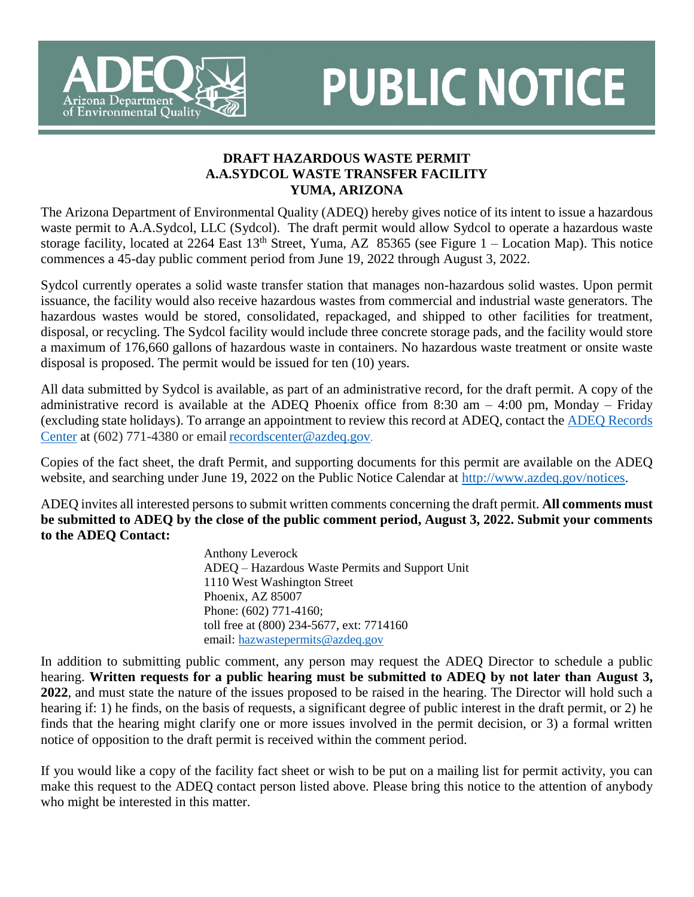

## **PUBLIC NOTICE**

## **DRAFT HAZARDOUS WASTE PERMIT A.A.SYDCOL WASTE TRANSFER FACILITY YUMA, ARIZONA**

The Arizona Department of Environmental Quality (ADEQ) hereby gives notice of its intent to issue a hazardous waste permit to A.A.Sydcol, LLC (Sydcol). The draft permit would allow Sydcol to operate a hazardous waste storage facility, located at 2264 East  $13<sup>th</sup>$  Street, Yuma, AZ 85365 (see Figure 1 – Location Map). This notice commences a 45-day public comment period from June 19, 2022 through August 3, 2022.

Sydcol currently operates a solid waste transfer station that manages non-hazardous solid wastes. Upon permit issuance, the facility would also receive hazardous wastes from commercial and industrial waste generators. The hazardous wastes would be stored, consolidated, repackaged, and shipped to other facilities for treatment, disposal, or recycling. The Sydcol facility would include three concrete storage pads, and the facility would store a maximum of 176,660 gallons of hazardous waste in containers. No hazardous waste treatment or onsite waste disposal is proposed. The permit would be issued for ten (10) years.

All data submitted by Sydcol is available, as part of an administrative record, for the draft permit. A copy of the administrative record is available at the ADEQ Phoenix office from 8:30 am  $-$  4:00 pm, Monday – Friday (excluding state holidays). To arrange an appointment to review this record at ADEQ, contact the [ADEQ Records](http://www.azdeq.gov/function/assistance/records.html)  [Center](http://www.azdeq.gov/function/assistance/records.html) at (602) 771-4380 or email [recordscenter@azdeq.gov](mailto:recordscenter@azdeq.gov).

Copies of the fact sheet, the draft Permit, and supporting documents for this permit are available on the ADEQ website, and searching under June 19, 2022 on the Public Notice Calendar at [http://www.azdeq.gov/notices.](http://www.azdeq.gov/notices)

ADEQ invites all interested persons to submit written comments concerning the draft permit. **All comments must be submitted to ADEQ by the close of the public comment period, August 3, 2022. Submit your comments to the ADEQ Contact:**

> Anthony Leverock ADEQ – Hazardous Waste Permits and Support Unit 1110 West Washington Street Phoenix, AZ 85007 Phone: (602) 771-4160; toll free at (800) 234-5677, ext: 7714160 email: [hazwastepermits@azdeq.gov](mailto:hazwastepermits@azdeq.gov)

In addition to submitting public comment, any person may request the ADEQ Director to schedule a public hearing. **Written requests for a public hearing must be submitted to ADEQ by not later than August 3, 2022**, and must state the nature of the issues proposed to be raised in the hearing. The Director will hold such a hearing if: 1) he finds, on the basis of requests, a significant degree of public interest in the draft permit, or 2) he finds that the hearing might clarify one or more issues involved in the permit decision, or 3) a formal written notice of opposition to the draft permit is received within the comment period.

If you would like a copy of the facility fact sheet or wish to be put on a mailing list for permit activity, you can make this request to the ADEQ contact person listed above. Please bring this notice to the attention of anybody who might be interested in this matter.